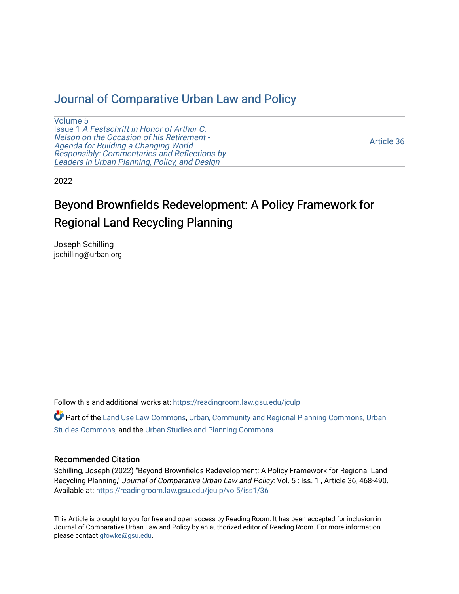# [Journal of Comparative Urban Law and Policy](https://readingroom.law.gsu.edu/jculp)

[Volume 5](https://readingroom.law.gsu.edu/jculp/vol5) Issue 1 [A Festschrift in Honor of Arthur C.](https://readingroom.law.gsu.edu/jculp/vol5/iss1) [Nelson on the Occasion of his Retirement -](https://readingroom.law.gsu.edu/jculp/vol5/iss1)  [Agenda for Building a Changing World](https://readingroom.law.gsu.edu/jculp/vol5/iss1)  [Responsibly: Commentaries and Reflections by](https://readingroom.law.gsu.edu/jculp/vol5/iss1) [Leaders in Urban Planning, Policy, and Design](https://readingroom.law.gsu.edu/jculp/vol5/iss1) 

[Article 36](https://readingroom.law.gsu.edu/jculp/vol5/iss1/36) 

2022

# Beyond Brownfields Redevelopment: A Policy Framework for Regional Land Recycling Planning

Joseph Schilling jschilling@urban.org

Follow this and additional works at: [https://readingroom.law.gsu.edu/jculp](https://readingroom.law.gsu.edu/jculp?utm_source=readingroom.law.gsu.edu%2Fjculp%2Fvol5%2Fiss1%2F36&utm_medium=PDF&utm_campaign=PDFCoverPages) 

Part of the [Land Use Law Commons](https://network.bepress.com/hgg/discipline/852?utm_source=readingroom.law.gsu.edu%2Fjculp%2Fvol5%2Fiss1%2F36&utm_medium=PDF&utm_campaign=PDFCoverPages), [Urban, Community and Regional Planning Commons,](https://network.bepress.com/hgg/discipline/776?utm_source=readingroom.law.gsu.edu%2Fjculp%2Fvol5%2Fiss1%2F36&utm_medium=PDF&utm_campaign=PDFCoverPages) [Urban](https://network.bepress.com/hgg/discipline/402?utm_source=readingroom.law.gsu.edu%2Fjculp%2Fvol5%2Fiss1%2F36&utm_medium=PDF&utm_campaign=PDFCoverPages) [Studies Commons,](https://network.bepress.com/hgg/discipline/402?utm_source=readingroom.law.gsu.edu%2Fjculp%2Fvol5%2Fiss1%2F36&utm_medium=PDF&utm_campaign=PDFCoverPages) and the [Urban Studies and Planning Commons](https://network.bepress.com/hgg/discipline/436?utm_source=readingroom.law.gsu.edu%2Fjculp%2Fvol5%2Fiss1%2F36&utm_medium=PDF&utm_campaign=PDFCoverPages) 

#### Recommended Citation

Schilling, Joseph (2022) "Beyond Brownfields Redevelopment: A Policy Framework for Regional Land Recycling Planning," Journal of Comparative Urban Law and Policy: Vol. 5: Iss. 1, Article 36, 468-490. Available at: [https://readingroom.law.gsu.edu/jculp/vol5/iss1/36](https://readingroom.law.gsu.edu/jculp/vol5/iss1/36?utm_source=readingroom.law.gsu.edu%2Fjculp%2Fvol5%2Fiss1%2F36&utm_medium=PDF&utm_campaign=PDFCoverPages)

This Article is brought to you for free and open access by Reading Room. It has been accepted for inclusion in Journal of Comparative Urban Law and Policy by an authorized editor of Reading Room. For more information, please contact [gfowke@gsu.edu](mailto:gfowke@gsu.edu).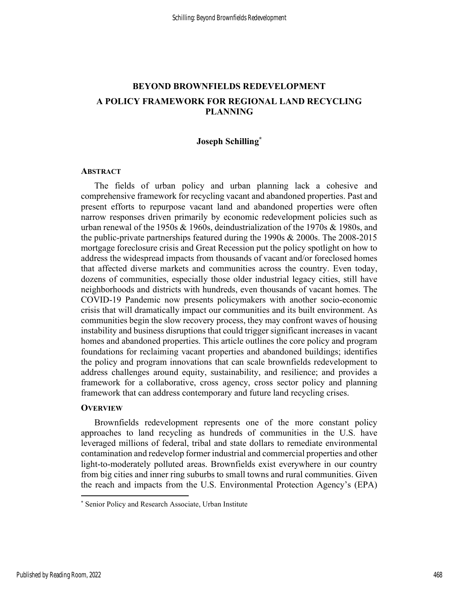# BEYOND BROWNFIELDS REDEVELOPMENT A POLICY FRAMEWORK FOR REGIONAL LAND RECYCLING PLANNING

# Joseph Schilling\*

### **ABSTRACT**

The fields of urban policy and urban planning lack a cohesive and comprehensive framework for recycling vacant and abandoned properties. Past and present efforts to repurpose vacant land and abandoned properties were often narrow responses driven primarily by economic redevelopment policies such as urban renewal of the 1950s  $& 1960s$ , deindustrialization of the 1970s  $& 1980s$ , and the public-private partnerships featured during the 1990s & 2000s. The 2008-2015 mortgage foreclosure crisis and Great Recession put the policy spotlight on how to address the widespread impacts from thousands of vacant and/or foreclosed homes that affected diverse markets and communities across the country. Even today, dozens of communities, especially those older industrial legacy cities, still have neighborhoods and districts with hundreds, even thousands of vacant homes. The COVID-19 Pandemic now presents policymakers with another socio-economic crisis that will dramatically impact our communities and its built environment. As communities begin the slow recovery process, they may confront waves of housing instability and business disruptions that could trigger significant increases in vacant homes and abandoned properties. This article outlines the core policy and program foundations for reclaiming vacant properties and abandoned buildings; identifies the policy and program innovations that can scale brownfields redevelopment to address challenges around equity, sustainability, and resilience; and provides a framework for a collaborative, cross agency, cross sector policy and planning framework that can address contemporary and future land recycling crises.

#### **OVERVIEW**

Brownfields redevelopment represents one of the more constant policy approaches to land recycling as hundreds of communities in the U.S. have leveraged millions of federal, tribal and state dollars to remediate environmental contamination and redevelop former industrial and commercial properties and other light-to-moderately polluted areas. Brownfields exist everywhere in our country from big cities and inner ring suburbs to small towns and rural communities. Given the reach and impacts from the U.S. Environmental Protection Agency's (EPA)

<sup>\*</sup> Senior Policy and Research Associate, Urban Institute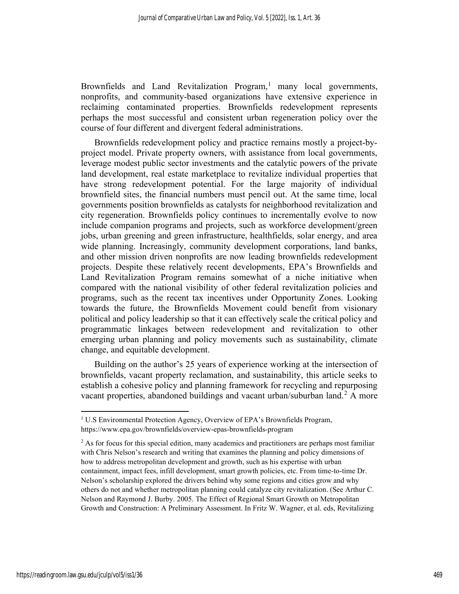Brownfields and Land Revitalization Program,<sup>1</sup> many local governments, nonprofits, and community-based organizations have extensive experience in reclaiming contaminated properties. Brownfields redevelopment represents perhaps the most successful and consistent urban regeneration policy over the course of four different and divergent federal administrations.

Brownfields redevelopment policy and practice remains mostly a project-byproject model. Private property owners, with assistance from local governments, leverage modest public sector investments and the catalytic powers of the private land development, real estate marketplace to revitalize individual properties that have strong redevelopment potential. For the large majority of individual brownfield sites, the financial numbers must pencil out. At the same time, local governments position brownfields as catalysts for neighborhood revitalization and city regeneration. Brownfields policy continues to incrementally evolve to now include companion programs and projects, such as workforce development/green jobs, urban greening and green infrastructure, healthfields, solar energy, and area wide planning. Increasingly, community development corporations, land banks, and other mission driven nonprofits are now leading brownfields redevelopment projects. Despite these relatively recent developments, EPA's Brownfields and Land Revitalization Program remains somewhat of a niche initiative when compared with the national visibility of other federal revitalization policies and programs, such as the recent tax incentives under Opportunity Zones. Looking towards the future, the Brownfields Movement could benefit from visionary political and policy leadership so that it can effectively scale the critical policy and programmatic linkages between redevelopment and revitalization to other emerging urban planning and policy movements such as sustainability, climate change, and equitable development.

Building on the author's 25 years of experience working at the intersection of brownfields, vacant property reclamation, and sustainability, this article seeks to establish a cohesive policy and planning framework for recycling and repurposing vacant properties, abandoned buildings and vacant urban/suburban land.<sup>2</sup> A more

<sup>&</sup>lt;sup>1</sup> U.S Environmental Protection Agency, Overview of EPA's Brownfields Program, https://www.epa.gov/brownfields/overview-epas-brownfields-program

<sup>&</sup>lt;sup>2</sup> As for focus for this special edition, many academics and practitioners are perhaps most familiar with Chris Nelson's research and writing that examines the planning and policy dimensions of how to address metropolitan development and growth, such as his expertise with urban containment, impact fees, infill development, smart growth policies, etc. From time-to-time Dr. Nelson's scholarship explored the drivers behind why some regions and cities grow and why others do not and whether metropolitan planning could catalyze city revitalization. (See Arthur C. Nelson and Raymond J. Burby. 2005. The Effect of Regional Smart Growth on Metropolitan Growth and Construction: A Preliminary Assessment. In Fritz W. Wagner, et al. eds, Revitalizing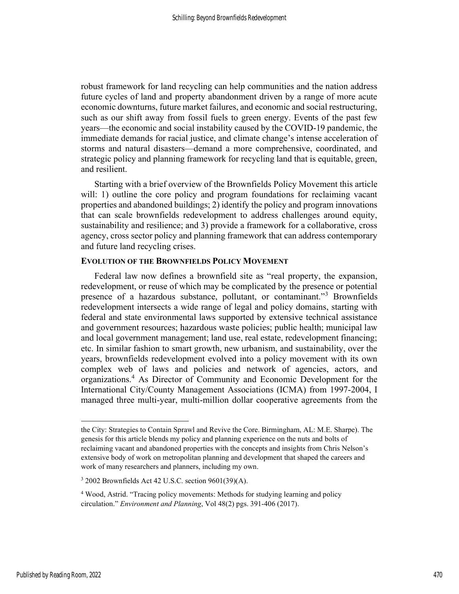robust framework for land recycling can help communities and the nation address future cycles of land and property abandonment driven by a range of more acute economic downturns, future market failures, and economic and social restructuring, such as our shift away from fossil fuels to green energy. Events of the past few years—the economic and social instability caused by the COVID-19 pandemic, the immediate demands for racial justice, and climate change's intense acceleration of storms and natural disasters—demand a more comprehensive, coordinated, and strategic policy and planning framework for recycling land that is equitable, green, and resilient.

Starting with a brief overview of the Brownfields Policy Movement this article will: 1) outline the core policy and program foundations for reclaiming vacant properties and abandoned buildings; 2) identify the policy and program innovations that can scale brownfields redevelopment to address challenges around equity, sustainability and resilience; and 3) provide a framework for a collaborative, cross agency, cross sector policy and planning framework that can address contemporary and future land recycling crises.

#### EVOLUTION OF THE BROWNFIELDS POLICY MOVEMENT

Federal law now defines a brownfield site as "real property, the expansion, redevelopment, or reuse of which may be complicated by the presence or potential presence of a hazardous substance, pollutant, or contaminant."<sup>3</sup> Brownfields redevelopment intersects a wide range of legal and policy domains, starting with federal and state environmental laws supported by extensive technical assistance and government resources; hazardous waste policies; public health; municipal law and local government management; land use, real estate, redevelopment financing; etc. In similar fashion to smart growth, new urbanism, and sustainability, over the years, brownfields redevelopment evolved into a policy movement with its own complex web of laws and policies and network of agencies, actors, and organizations.<sup>4</sup> As Director of Community and Economic Development for the International City/County Management Associations (ICMA) from 1997-2004, I managed three multi-year, multi-million dollar cooperative agreements from the

the City: Strategies to Contain Sprawl and Revive the Core. Birmingham, AL: M.E. Sharpe). The genesis for this article blends my policy and planning experience on the nuts and bolts of reclaiming vacant and abandoned properties with the concepts and insights from Chris Nelson's extensive body of work on metropolitan planning and development that shaped the careers and work of many researchers and planners, including my own.

<sup>3</sup> 2002 Brownfields Act 42 U.S.C. section 9601(39)(A).

<sup>&</sup>lt;sup>4</sup> Wood, Astrid. "Tracing policy movements: Methods for studying learning and policy circulation." Environment and Planning, Vol 48(2) pgs. 391-406 (2017).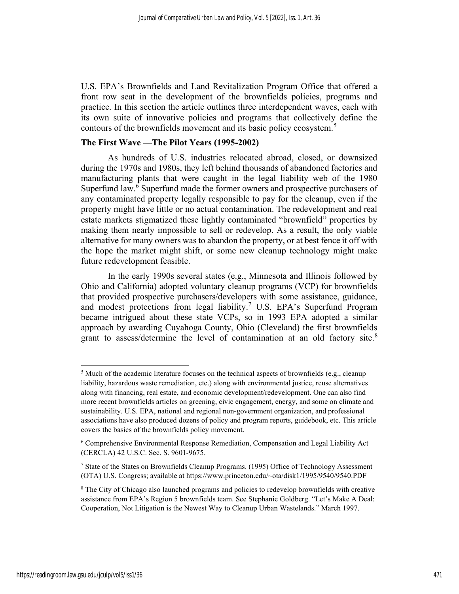U.S. EPA's Brownfields and Land Revitalization Program Office that offered a front row seat in the development of the brownfields policies, programs and practice. In this section the article outlines three interdependent waves, each with its own suite of innovative policies and programs that collectively define the contours of the brownfields movement and its basic policy ecosystem.<sup>5</sup>

# The First Wave —The Pilot Years (1995-2002)

As hundreds of U.S. industries relocated abroad, closed, or downsized during the 1970s and 1980s, they left behind thousands of abandoned factories and manufacturing plants that were caught in the legal liability web of the 1980 Superfund law.<sup>6</sup> Superfund made the former owners and prospective purchasers of any contaminated property legally responsible to pay for the cleanup, even if the property might have little or no actual contamination. The redevelopment and real estate markets stigmatized these lightly contaminated "brownfield" properties by making them nearly impossible to sell or redevelop. As a result, the only viable alternative for many owners was to abandon the property, or at best fence it off with the hope the market might shift, or some new cleanup technology might make future redevelopment feasible.

In the early 1990s several states (e.g., Minnesota and Illinois followed by Ohio and California) adopted voluntary cleanup programs (VCP) for brownfields that provided prospective purchasers/developers with some assistance, guidance, and modest protections from legal liability.<sup>7</sup> U.S. EPA's Superfund Program became intrigued about these state VCPs, so in 1993 EPA adopted a similar approach by awarding Cuyahoga County, Ohio (Cleveland) the first brownfields grant to assess/determine the level of contamination at an old factory site. $8$ 

<sup>&</sup>lt;sup>5</sup> Much of the academic literature focuses on the technical aspects of brownfields (e.g., cleanup liability, hazardous waste remediation, etc.) along with environmental justice, reuse alternatives along with financing, real estate, and economic development/redevelopment. One can also find more recent brownfields articles on greening, civic engagement, energy, and some on climate and sustainability. U.S. EPA, national and regional non-government organization, and professional associations have also produced dozens of policy and program reports, guidebook, etc. This article covers the basics of the brownfields policy movement.

<sup>6</sup> Comprehensive Environmental Response Remediation, Compensation and Legal Liability Act (CERCLA) 42 U.S.C. Sec. S. 9601-9675.

<sup>&</sup>lt;sup>7</sup> State of the States on Brownfields Cleanup Programs. (1995) Office of Technology Assessment (OTA) U.S. Congress; available at https://www.princeton.edu/~ota/disk1/1995/9540/9540.PDF

<sup>&</sup>lt;sup>8</sup> The City of Chicago also launched programs and policies to redevelop brownfields with creative assistance from EPA's Region 5 brownfields team. See Stephanie Goldberg. "Let's Make A Deal: Cooperation, Not Litigation is the Newest Way to Cleanup Urban Wastelands." March 1997.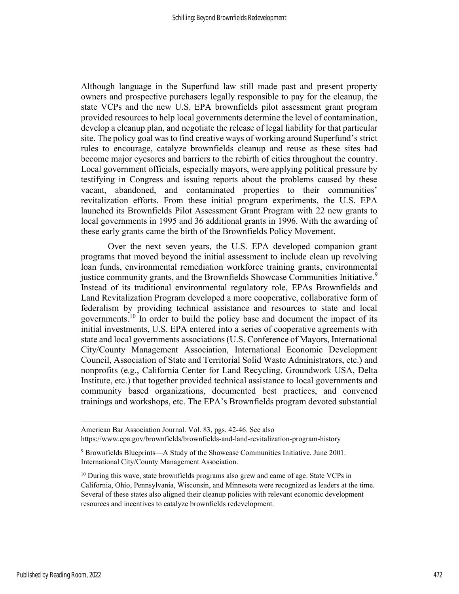Although language in the Superfund law still made past and present property owners and prospective purchasers legally responsible to pay for the cleanup, the state VCPs and the new U.S. EPA brownfields pilot assessment grant program provided resources to help local governments determine the level of contamination, develop a cleanup plan, and negotiate the release of legal liability for that particular site. The policy goal was to find creative ways of working around Superfund's strict rules to encourage, catalyze brownfields cleanup and reuse as these sites had become major eyesores and barriers to the rebirth of cities throughout the country. Local government officials, especially mayors, were applying political pressure by testifying in Congress and issuing reports about the problems caused by these vacant, abandoned, and contaminated properties to their communities' revitalization efforts. From these initial program experiments, the U.S. EPA launched its Brownfields Pilot Assessment Grant Program with 22 new grants to local governments in 1995 and 36 additional grants in 1996. With the awarding of these early grants came the birth of the Brownfields Policy Movement.

Over the next seven years, the U.S. EPA developed companion grant programs that moved beyond the initial assessment to include clean up revolving loan funds, environmental remediation workforce training grants, environmental justice community grants, and the Brownfields Showcase Communities Initiative.<sup>9</sup> Instead of its traditional environmental regulatory role, EPAs Brownfields and Land Revitalization Program developed a more cooperative, collaborative form of federalism by providing technical assistance and resources to state and local governments.<sup>10</sup> In order to build the policy base and document the impact of its initial investments, U.S. EPA entered into a series of cooperative agreements with state and local governments associations (U.S. Conference of Mayors, International City/County Management Association, International Economic Development Council, Association of State and Territorial Solid Waste Administrators, etc.) and nonprofits (e.g., California Center for Land Recycling, Groundwork USA, Delta Institute, etc.) that together provided technical assistance to local governments and community based organizations, documented best practices, and convened trainings and workshops, etc. The EPA's Brownfields program devoted substantial

American Bar Association Journal. Vol. 83, pgs. 42-46. See also

https://www.epa.gov/brownfields/brownfields-and-land-revitalization-program-history

<sup>&</sup>lt;sup>9</sup> Brownfields Blueprints—A Study of the Showcase Communities Initiative. June 2001. International City/County Management Association.

<sup>&</sup>lt;sup>10</sup> During this wave, state brownfields programs also grew and came of age. State VCPs in California, Ohio, Pennsylvania, Wisconsin, and Minnesota were recognized as leaders at the time. Several of these states also aligned their cleanup policies with relevant economic development resources and incentives to catalyze brownfields redevelopment.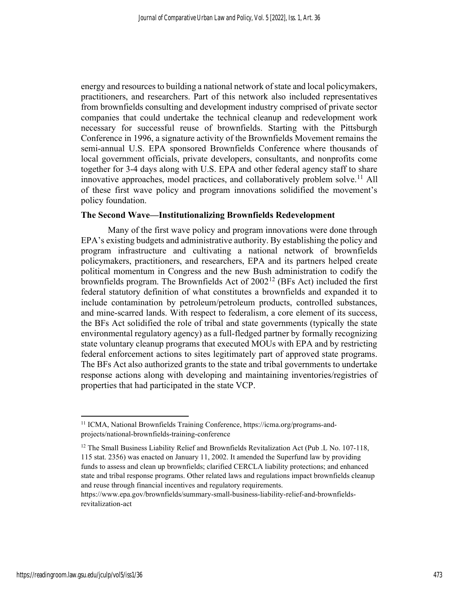energy and resources to building a national network of state and local policymakers, practitioners, and researchers. Part of this network also included representatives from brownfields consulting and development industry comprised of private sector companies that could undertake the technical cleanup and redevelopment work necessary for successful reuse of brownfields. Starting with the Pittsburgh Conference in 1996, a signature activity of the Brownfields Movement remains the semi-annual U.S. EPA sponsored Brownfields Conference where thousands of local government officials, private developers, consultants, and nonprofits come together for 3-4 days along with U.S. EPA and other federal agency staff to share innovative approaches, model practices, and collaboratively problem solve.<sup>11</sup> All of these first wave policy and program innovations solidified the movement's policy foundation.

# The Second Wave—Institutionalizing Brownfields Redevelopment

Many of the first wave policy and program innovations were done through EPA's existing budgets and administrative authority. By establishing the policy and program infrastructure and cultivating a national network of brownfields policymakers, practitioners, and researchers, EPA and its partners helped create political momentum in Congress and the new Bush administration to codify the brownfields program. The Brownfields Act of 2002<sup>12</sup> (BFs Act) included the first federal statutory definition of what constitutes a brownfields and expanded it to include contamination by petroleum/petroleum products, controlled substances, and mine-scarred lands. With respect to federalism, a core element of its success, the BFs Act solidified the role of tribal and state governments (typically the state environmental regulatory agency) as a full-fledged partner by formally recognizing state voluntary cleanup programs that executed MOUs with EPA and by restricting federal enforcement actions to sites legitimately part of approved state programs. The BFs Act also authorized grants to the state and tribal governments to undertake response actions along with developing and maintaining inventories/registries of properties that had participated in the state VCP.

<sup>&</sup>lt;sup>11</sup> ICMA, National Brownfields Training Conference, https://icma.org/programs-andprojects/national-brownfields-training-conference

<sup>&</sup>lt;sup>12</sup> The Small Business Liability Relief and Brownfields Revitalization Act (Pub .L No. 107-118, 115 stat. 2356) was enacted on January 11, 2002. It amended the Superfund law by providing funds to assess and clean up brownfields; clarified CERCLA liability protections; and enhanced state and tribal response programs. Other related laws and regulations impact brownfields cleanup and reuse through financial incentives and regulatory requirements.

https://www.epa.gov/brownfields/summary-small-business-liability-relief-and-brownfieldsrevitalization-act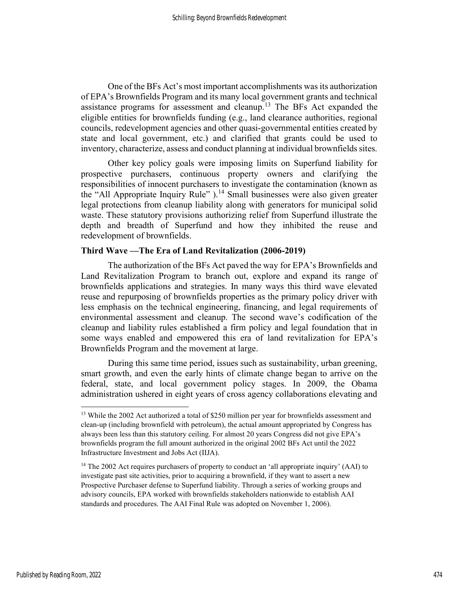One of the BFs Act's most important accomplishments was its authorization of EPA's Brownfields Program and its many local government grants and technical assistance programs for assessment and cleanup.<sup>13</sup> The BFs Act expanded the eligible entities for brownfields funding (e.g., land clearance authorities, regional councils, redevelopment agencies and other quasi-governmental entities created by state and local government, etc.) and clarified that grants could be used to inventory, characterize, assess and conduct planning at individual brownfields sites.

Other key policy goals were imposing limits on Superfund liability for prospective purchasers, continuous property owners and clarifying the responsibilities of innocent purchasers to investigate the contamination (known as the "All Appropriate Inquiry Rule" ).<sup>14</sup> Small businesses were also given greater legal protections from cleanup liability along with generators for municipal solid waste. These statutory provisions authorizing relief from Superfund illustrate the depth and breadth of Superfund and how they inhibited the reuse and redevelopment of brownfields.

# Third Wave —The Era of Land Revitalization (2006-2019)

The authorization of the BFs Act paved the way for EPA's Brownfields and Land Revitalization Program to branch out, explore and expand its range of brownfields applications and strategies. In many ways this third wave elevated reuse and repurposing of brownfields properties as the primary policy driver with less emphasis on the technical engineering, financing, and legal requirements of environmental assessment and cleanup. The second wave's codification of the cleanup and liability rules established a firm policy and legal foundation that in some ways enabled and empowered this era of land revitalization for EPA's Brownfields Program and the movement at large.

During this same time period, issues such as sustainability, urban greening, smart growth, and even the early hints of climate change began to arrive on the federal, state, and local government policy stages. In 2009, the Obama administration ushered in eight years of cross agency collaborations elevating and

<sup>&</sup>lt;sup>13</sup> While the 2002 Act authorized a total of \$250 million per year for brownfields assessment and clean-up (including brownfield with petroleum), the actual amount appropriated by Congress has always been less than this statutory ceiling. For almost 20 years Congress did not give EPA's brownfields program the full amount authorized in the original 2002 BFs Act until the 2022 Infrastructure Investment and Jobs Act (IIJA).

<sup>&</sup>lt;sup>14</sup> The 2002 Act requires purchasers of property to conduct an 'all appropriate inquiry' (AAI) to investigate past site activities, prior to acquiring a brownfield, if they want to assert a new Prospective Purchaser defense to Superfund liability. Through a series of working groups and advisory councils, EPA worked with brownfields stakeholders nationwide to establish AAI standards and procedures. The AAI Final Rule was adopted on November 1, 2006).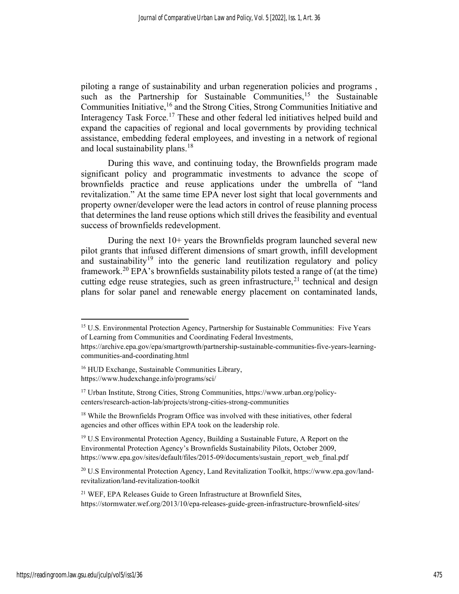piloting a range of sustainability and urban regeneration policies and programs , such as the Partnership for Sustainable Communities,<sup>15</sup> the Sustainable Communities Initiative,<sup>16</sup> and the Strong Cities, Strong Communities Initiative and Interagency Task Force.<sup>17</sup> These and other federal led initiatives helped build and expand the capacities of regional and local governments by providing technical assistance, embedding federal employees, and investing in a network of regional and local sustainability plans.<sup>18</sup>

During this wave, and continuing today, the Brownfields program made significant policy and programmatic investments to advance the scope of brownfields practice and reuse applications under the umbrella of "land revitalization." At the same time EPA never lost sight that local governments and property owner/developer were the lead actors in control of reuse planning process that determines the land reuse options which still drives the feasibility and eventual success of brownfields redevelopment.

During the next 10+ years the Brownfields program launched several new pilot grants that infused different dimensions of smart growth, infill development and sustainability<sup>19</sup> into the generic land reutilization regulatory and policy framework.<sup>20</sup> EPA's brownfields sustainability pilots tested a range of (at the time) cutting edge reuse strategies, such as green infrastructure,  $2<sup>1</sup>$  technical and design plans for solar panel and renewable energy placement on contaminated lands,

<sup>19</sup> U.S Environmental Protection Agency, Building a Sustainable Future, A Report on the Environmental Protection Agency's Brownfields Sustainability Pilots, October 2009, https://www.epa.gov/sites/default/files/2015-09/documents/sustain\_report\_web\_final.pdf

20 U.S Environmental Protection Agency, Land Revitalization Toolkit, https://www.epa.gov/landrevitalization/land-revitalization-toolkit

<sup>21</sup> WEF, EPA Releases Guide to Green Infrastructure at Brownfield Sites, https://stormwater.wef.org/2013/10/epa-releases-guide-green-infrastructure-brownfield-sites/

<sup>&</sup>lt;sup>15</sup> U.S. Environmental Protection Agency, Partnership for Sustainable Communities: Five Years of Learning from Communities and Coordinating Federal Investments,

https://archive.epa.gov/epa/smartgrowth/partnership-sustainable-communities-five-years-learningcommunities-and-coordinating.html

<sup>16</sup> HUD Exchange, Sustainable Communities Library, https://www.hudexchange.info/programs/sci/

<sup>17</sup> Urban Institute, Strong Cities, Strong Communities, https://www.urban.org/policycenters/research-action-lab/projects/strong-cities-strong-communities

<sup>&</sup>lt;sup>18</sup> While the Brownfields Program Office was involved with these initiatives, other federal agencies and other offices within EPA took on the leadership role.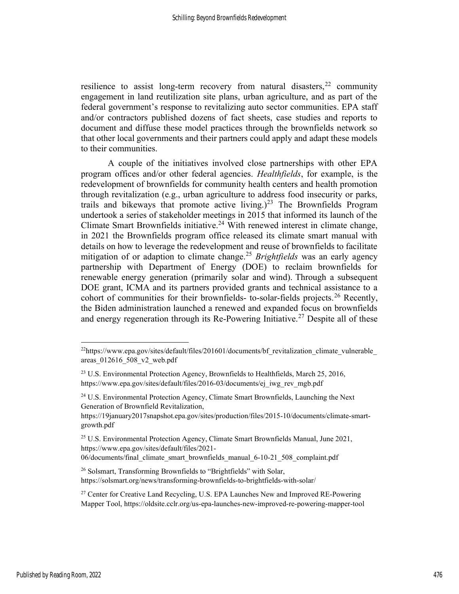resilience to assist long-term recovery from natural disasters,  $22$  community engagement in land reutilization site plans, urban agriculture, and as part of the federal government's response to revitalizing auto sector communities. EPA staff and/or contractors published dozens of fact sheets, case studies and reports to document and diffuse these model practices through the brownfields network so that other local governments and their partners could apply and adapt these models to their communities.

A couple of the initiatives involved close partnerships with other EPA program offices and/or other federal agencies. Healthfields, for example, is the redevelopment of brownfields for community health centers and health promotion through revitalization (e.g., urban agriculture to address food insecurity or parks, trails and bikeways that promote active living.)<sup>23</sup> The Brownfields Program undertook a series of stakeholder meetings in 2015 that informed its launch of the Climate Smart Brownfields initiative.<sup>24</sup> With renewed interest in climate change, in 2021 the Brownfields program office released its climate smart manual with details on how to leverage the redevelopment and reuse of brownfields to facilitate mitigation of or adaption to climate change.<sup>25</sup> Brightfields was an early agency partnership with Department of Energy (DOE) to reclaim brownfields for renewable energy generation (primarily solar and wind). Through a subsequent DOE grant, ICMA and its partners provided grants and technical assistance to a cohort of communities for their brownfields- to-solar-fields projects.<sup>26</sup> Recently, the Biden administration launched a renewed and expanded focus on brownfields and energy regeneration through its Re-Powering Initiative.<sup>27</sup> Despite all of these

https://19january2017snapshot.epa.gov/sites/production/files/2015-10/documents/climate-smartgrowth.pdf

<sup>25</sup> U.S. Environmental Protection Agency, Climate Smart Brownfields Manual, June 2021, https://www.epa.gov/sites/default/files/2021-

06/documents/final\_climate\_smart\_brownfields\_manual\_6-10-21\_508\_complaint.pdf

<sup>26</sup> Solsmart, Transforming Brownfields to "Brightfields" with Solar, https://solsmart.org/news/transforming-brownfields-to-brightfields-with-solar/

 $^{22}$ https://www.epa.gov/sites/default/files/201601/documents/bf\_revitalization\_climate\_vulnerable areas\_012616\_508\_v2\_web.pdf

<sup>&</sup>lt;sup>23</sup> U.S. Environmental Protection Agency, Brownfields to Healthfields, March 25, 2016, https://www.epa.gov/sites/default/files/2016-03/documents/ej\_iwg\_rev\_mgb.pdf

<sup>&</sup>lt;sup>24</sup> U.S. Environmental Protection Agency, Climate Smart Brownfields, Launching the Next Generation of Brownfield Revitalization,

<sup>&</sup>lt;sup>27</sup> Center for Creative Land Recycling, U.S. EPA Launches New and Improved RE-Powering Mapper Tool, https://oldsite.cclr.org/us-epa-launches-new-improved-re-powering-mapper-tool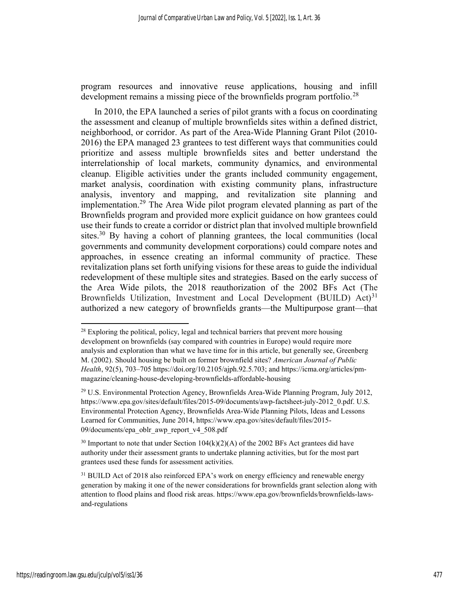program resources and innovative reuse applications, housing and infill development remains a missing piece of the brownfields program portfolio.<sup>28</sup>

In 2010, the EPA launched a series of pilot grants with a focus on coordinating the assessment and cleanup of multiple brownfields sites within a defined district, neighborhood, or corridor. As part of the Area-Wide Planning Grant Pilot (2010- 2016) the EPA managed 23 grantees to test different ways that communities could prioritize and assess multiple brownfields sites and better understand the interrelationship of local markets, community dynamics, and environmental cleanup. Eligible activities under the grants included community engagement, market analysis, coordination with existing community plans, infrastructure analysis, inventory and mapping, and revitalization site planning and implementation.<sup>29</sup> The Area Wide pilot program elevated planning as part of the Brownfields program and provided more explicit guidance on how grantees could use their funds to create a corridor or district plan that involved multiple brownfield sites.<sup>30</sup> By having a cohort of planning grantees, the local communities (local governments and community development corporations) could compare notes and approaches, in essence creating an informal community of practice. These revitalization plans set forth unifying visions for these areas to guide the individual redevelopment of these multiple sites and strategies. Based on the early success of the Area Wide pilots, the 2018 reauthorization of the 2002 BFs Act (The Brownfields Utilization, Investment and Local Development (BUILD)  $Act)^{31}$ authorized a new category of brownfields grants—the Multipurpose grant—that

<sup>30</sup> Important to note that under Section  $104(k)(2)(A)$  of the 2002 BFs Act grantees did have authority under their assessment grants to undertake planning activities, but for the most part grantees used these funds for assessment activities.

 $28$  Exploring the political, policy, legal and technical barriers that prevent more housing development on brownfields (say compared with countries in Europe) would require more analysis and exploration than what we have time for in this article, but generally see, Greenberg M. (2002). Should housing be built on former brownfield sites? American Journal of Public Health, 92(5), 703–705 https://doi.org/10.2105/ajph.92.5.703; and https://icma.org/articles/pmmagazine/cleaning-house-developing-brownfields-affordable-housing

<sup>29</sup> U.S. Environmental Protection Agency, Brownfields Area-Wide Planning Program, July 2012, https://www.epa.gov/sites/default/files/2015-09/documents/awp-factsheet-july-2012\_0.pdf. U.S. Environmental Protection Agency, Brownfields Area-Wide Planning Pilots, Ideas and Lessons Learned for Communities, June 2014, https://www.epa.gov/sites/default/files/2015- 09/documents/epa\_oblr\_awp\_report\_v4\_508.pdf

<sup>&</sup>lt;sup>31</sup> BUILD Act of 2018 also reinforced EPA's work on energy efficiency and renewable energy generation by making it one of the newer considerations for brownfields grant selection along with attention to flood plains and flood risk areas. https://www.epa.gov/brownfields/brownfields-lawsand-regulations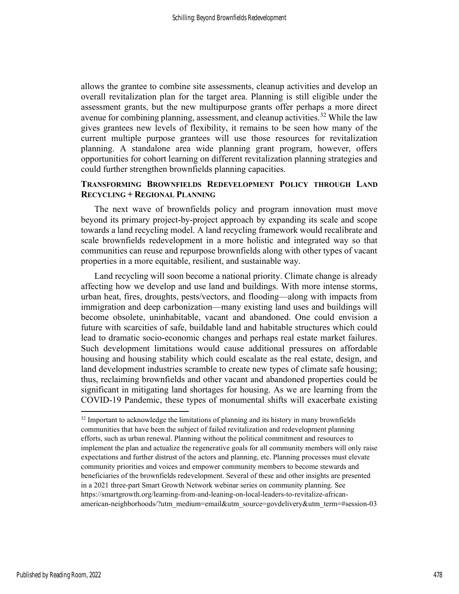allows the grantee to combine site assessments, cleanup activities and develop an overall revitalization plan for the target area. Planning is still eligible under the assessment grants, but the new multipurpose grants offer perhaps a more direct avenue for combining planning, assessment, and cleanup activities.<sup>32</sup> While the law gives grantees new levels of flexibility, it remains to be seen how many of the current multiple purpose grantees will use those resources for revitalization planning. A standalone area wide planning grant program, however, offers opportunities for cohort learning on different revitalization planning strategies and could further strengthen brownfields planning capacities.

# TRANSFORMING BROWNFIELDS REDEVELOPMENT POLICY THROUGH LAND RECYCLING + REGIONAL PLANNING

The next wave of brownfields policy and program innovation must move beyond its primary project-by-project approach by expanding its scale and scope towards a land recycling model. A land recycling framework would recalibrate and scale brownfields redevelopment in a more holistic and integrated way so that communities can reuse and repurpose brownfields along with other types of vacant properties in a more equitable, resilient, and sustainable way.

Land recycling will soon become a national priority. Climate change is already affecting how we develop and use land and buildings. With more intense storms, urban heat, fires, droughts, pests/vectors, and flooding—along with impacts from immigration and deep carbonization—many existing land uses and buildings will become obsolete, uninhabitable, vacant and abandoned. One could envision a future with scarcities of safe, buildable land and habitable structures which could lead to dramatic socio-economic changes and perhaps real estate market failures. Such development limitations would cause additional pressures on affordable housing and housing stability which could escalate as the real estate, design, and land development industries scramble to create new types of climate safe housing; thus, reclaiming brownfields and other vacant and abandoned properties could be significant in mitigating land shortages for housing. As we are learning from the COVID-19 Pandemic, these types of monumental shifts will exacerbate existing

 $32$  Important to acknowledge the limitations of planning and its history in many brownfields communities that have been the subject of failed revitalization and redevelopment planning efforts, such as urban renewal. Planning without the political commitment and resources to implement the plan and actualize the regenerative goals for all community members will only raise expectations and further distrust of the actors and planning, etc. Planning processes must elevate community priorities and voices and empower community members to become stewards and beneficiaries of the brownfields redevelopment. Several of these and other insights are presented in a 2021 three-part Smart Growth Network webinar series on community planning. See https://smartgrowth.org/learning-from-and-leaning-on-local-leaders-to-revitalize-africanamerican-neighborhoods/?utm\_medium=email&utm\_source=govdelivery&utm\_term=#session-03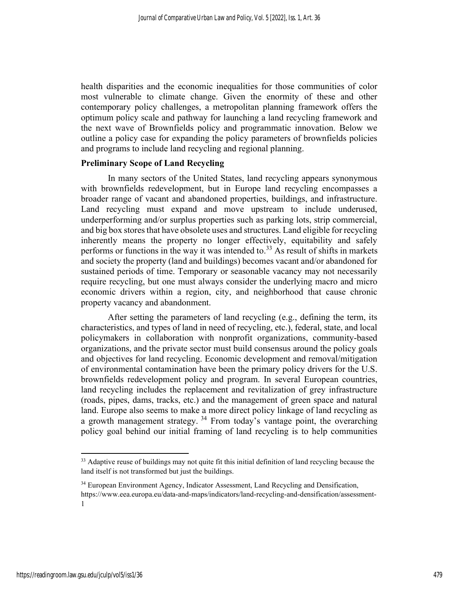health disparities and the economic inequalities for those communities of color most vulnerable to climate change. Given the enormity of these and other contemporary policy challenges, a metropolitan planning framework offers the optimum policy scale and pathway for launching a land recycling framework and the next wave of Brownfields policy and programmatic innovation. Below we outline a policy case for expanding the policy parameters of brownfields policies and programs to include land recycling and regional planning.

# Preliminary Scope of Land Recycling

In many sectors of the United States, land recycling appears synonymous with brownfields redevelopment, but in Europe land recycling encompasses a broader range of vacant and abandoned properties, buildings, and infrastructure. Land recycling must expand and move upstream to include underused, underperforming and/or surplus properties such as parking lots, strip commercial, and big box stores that have obsolete uses and structures. Land eligible for recycling inherently means the property no longer effectively, equitability and safely performs or functions in the way it was intended to.<sup>33</sup> As result of shifts in markets and society the property (land and buildings) becomes vacant and/or abandoned for sustained periods of time. Temporary or seasonable vacancy may not necessarily require recycling, but one must always consider the underlying macro and micro economic drivers within a region, city, and neighborhood that cause chronic property vacancy and abandonment.

After setting the parameters of land recycling (e.g., defining the term, its characteristics, and types of land in need of recycling, etc.), federal, state, and local policymakers in collaboration with nonprofit organizations, community-based organizations, and the private sector must build consensus around the policy goals and objectives for land recycling. Economic development and removal/mitigation of environmental contamination have been the primary policy drivers for the U.S. brownfields redevelopment policy and program. In several European countries, land recycling includes the replacement and revitalization of grey infrastructure (roads, pipes, dams, tracks, etc.) and the management of green space and natural land. Europe also seems to make a more direct policy linkage of land recycling as a growth management strategy.<sup>34</sup> From today's vantage point, the overarching policy goal behind our initial framing of land recycling is to help communities

<sup>&</sup>lt;sup>33</sup> Adaptive reuse of buildings may not quite fit this initial definition of land recycling because the land itself is not transformed but just the buildings.

<sup>&</sup>lt;sup>34</sup> European Environment Agency, Indicator Assessment, Land Recycling and Densification, https://www.eea.europa.eu/data-and-maps/indicators/land-recycling-and-densification/assessment-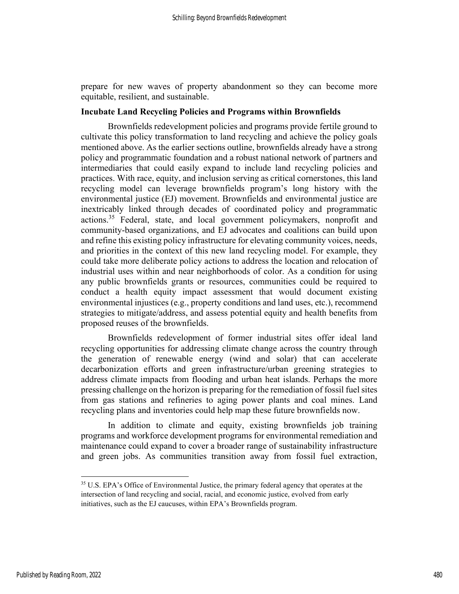prepare for new waves of property abandonment so they can become more equitable, resilient, and sustainable.

# Incubate Land Recycling Policies and Programs within Brownfields

Brownfields redevelopment policies and programs provide fertile ground to cultivate this policy transformation to land recycling and achieve the policy goals mentioned above. As the earlier sections outline, brownfields already have a strong policy and programmatic foundation and a robust national network of partners and intermediaries that could easily expand to include land recycling policies and practices. With race, equity, and inclusion serving as critical cornerstones, this land recycling model can leverage brownfields program's long history with the environmental justice (EJ) movement. Brownfields and environmental justice are inextricably linked through decades of coordinated policy and programmatic actions.<sup>35</sup> Federal, state, and local government policymakers, nonprofit and community-based organizations, and EJ advocates and coalitions can build upon and refine this existing policy infrastructure for elevating community voices, needs, and priorities in the context of this new land recycling model. For example, they could take more deliberate policy actions to address the location and relocation of industrial uses within and near neighborhoods of color. As a condition for using any public brownfields grants or resources, communities could be required to conduct a health equity impact assessment that would document existing environmental injustices (e.g., property conditions and land uses, etc.), recommend strategies to mitigate/address, and assess potential equity and health benefits from proposed reuses of the brownfields.

Brownfields redevelopment of former industrial sites offer ideal land recycling opportunities for addressing climate change across the country through the generation of renewable energy (wind and solar) that can accelerate decarbonization efforts and green infrastructure/urban greening strategies to address climate impacts from flooding and urban heat islands. Perhaps the more pressing challenge on the horizon is preparing for the remediation of fossil fuel sites from gas stations and refineries to aging power plants and coal mines. Land recycling plans and inventories could help map these future brownfields now.

In addition to climate and equity, existing brownfields job training programs and workforce development programs for environmental remediation and maintenance could expand to cover a broader range of sustainability infrastructure and green jobs. As communities transition away from fossil fuel extraction,

<sup>&</sup>lt;sup>35</sup> U.S. EPA's Office of Environmental Justice, the primary federal agency that operates at the intersection of land recycling and social, racial, and economic justice, evolved from early initiatives, such as the EJ caucuses, within EPA's Brownfields program.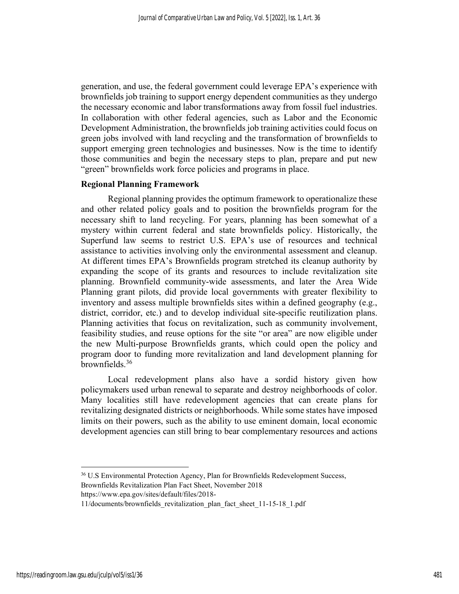generation, and use, the federal government could leverage EPA's experience with brownfields job training to support energy dependent communities as they undergo the necessary economic and labor transformations away from fossil fuel industries. In collaboration with other federal agencies, such as Labor and the Economic Development Administration, the brownfields job training activities could focus on green jobs involved with land recycling and the transformation of brownfields to support emerging green technologies and businesses. Now is the time to identify those communities and begin the necessary steps to plan, prepare and put new "green" brownfields work force policies and programs in place.

# Regional Planning Framework

Regional planning provides the optimum framework to operationalize these and other related policy goals and to position the brownfields program for the necessary shift to land recycling. For years, planning has been somewhat of a mystery within current federal and state brownfields policy. Historically, the Superfund law seems to restrict U.S. EPA's use of resources and technical assistance to activities involving only the environmental assessment and cleanup. At different times EPA's Brownfields program stretched its cleanup authority by expanding the scope of its grants and resources to include revitalization site planning. Brownfield community-wide assessments, and later the Area Wide Planning grant pilots, did provide local governments with greater flexibility to inventory and assess multiple brownfields sites within a defined geography (e.g., district, corridor, etc.) and to develop individual site-specific reutilization plans. Planning activities that focus on revitalization, such as community involvement, feasibility studies, and reuse options for the site "or area" are now eligible under the new Multi-purpose Brownfields grants, which could open the policy and program door to funding more revitalization and land development planning for brownfields.<sup>36</sup>

Local redevelopment plans also have a sordid history given how policymakers used urban renewal to separate and destroy neighborhoods of color. Many localities still have redevelopment agencies that can create plans for revitalizing designated districts or neighborhoods. While some states have imposed limits on their powers, such as the ability to use eminent domain, local economic development agencies can still bring to bear complementary resources and actions

<sup>36</sup> U.S Environmental Protection Agency, Plan for Brownfields Redevelopment Success,

Brownfields Revitalization Plan Fact Sheet, November 2018

https://www.epa.gov/sites/default/files/2018-

<sup>11/</sup>documents/brownfields\_revitalization\_plan\_fact\_sheet\_11-15-18\_1.pdf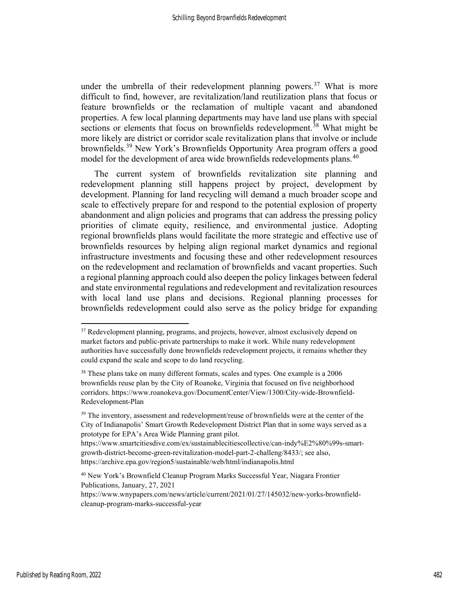under the umbrella of their redevelopment planning powers.<sup>37</sup> What is more difficult to find, however, are revitalization/land reutilization plans that focus or feature brownfields or the reclamation of multiple vacant and abandoned properties. A few local planning departments may have land use plans with special sections or elements that focus on brownfields redevelopment.<sup>38</sup> What might be more likely are district or corridor scale revitalization plans that involve or include brownfields.<sup>39</sup> New York's Brownfields Opportunity Area program offers a good model for the development of area wide brownfields redevelopments plans.<sup>40</sup>

The current system of brownfields revitalization site planning and redevelopment planning still happens project by project, development by development. Planning for land recycling will demand a much broader scope and scale to effectively prepare for and respond to the potential explosion of property abandonment and align policies and programs that can address the pressing policy priorities of climate equity, resilience, and environmental justice. Adopting regional brownfields plans would facilitate the more strategic and effective use of brownfields resources by helping align regional market dynamics and regional infrastructure investments and focusing these and other redevelopment resources on the redevelopment and reclamation of brownfields and vacant properties. Such a regional planning approach could also deepen the policy linkages between federal and state environmental regulations and redevelopment and revitalization resources with local land use plans and decisions. Regional planning processes for brownfields redevelopment could also serve as the policy bridge for expanding

<sup>&</sup>lt;sup>37</sup> Redevelopment planning, programs, and projects, however, almost exclusively depend on market factors and public-private partnerships to make it work. While many redevelopment authorities have successfully done brownfields redevelopment projects, it remains whether they could expand the scale and scope to do land recycling.

 $38$  These plans take on many different formats, scales and types. One example is a 2006 brownfields reuse plan by the City of Roanoke, Virginia that focused on five neighborhood corridors. https://www.roanokeva.gov/DocumentCenter/View/1300/City-wide-Brownfield-Redevelopment-Plan

 $39$  The inventory, assessment and redevelopment/reuse of brownfields were at the center of the City of Indianapolis' Smart Growth Redevelopment District Plan that in some ways served as a prototype for EPA's Area Wide Planning grant pilot.

https://www.smartcitiesdive.com/ex/sustainablecitiescollective/can-indy%E2%80%99s-smartgrowth-district-become-green-revitalization-model-part-2-challeng/8433/; see also, https://archive.epa.gov/region5/sustainable/web/html/indianapolis.html

<sup>40</sup> New York's Brownfield Cleanup Program Marks Successful Year, Niagara Frontier Publications, January, 27, 2021

https://www.wnypapers.com/news/article/current/2021/01/27/145032/new-yorks-brownfieldcleanup-program-marks-successful-year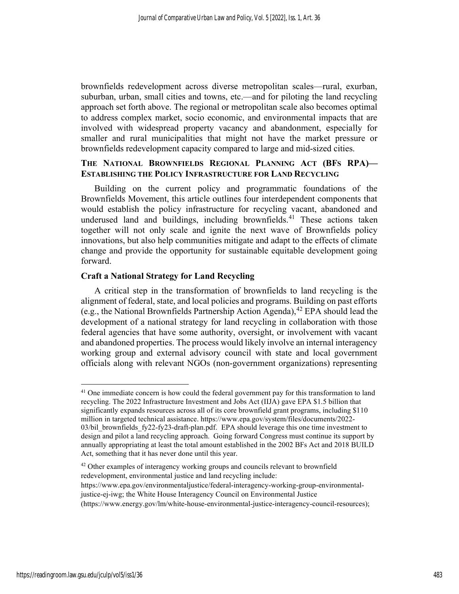brownfields redevelopment across diverse metropolitan scales—rural, exurban, suburban, urban, small cities and towns, etc.—and for piloting the land recycling approach set forth above. The regional or metropolitan scale also becomes optimal to address complex market, socio economic, and environmental impacts that are involved with widespread property vacancy and abandonment, especially for smaller and rural municipalities that might not have the market pressure or brownfields redevelopment capacity compared to large and mid-sized cities.

# THE NATIONAL BROWNFIELDS REGIONAL PLANNING ACT (BFS RPA)— ESTABLISHING THE POLICY INFRASTRUCTURE FOR LAND RECYCLING

Building on the current policy and programmatic foundations of the Brownfields Movement, this article outlines four interdependent components that would establish the policy infrastructure for recycling vacant, abandoned and underused land and buildings, including brownfields.<sup>41</sup> These actions taken together will not only scale and ignite the next wave of Brownfields policy innovations, but also help communities mitigate and adapt to the effects of climate change and provide the opportunity for sustainable equitable development going forward.

# Craft a National Strategy for Land Recycling

A critical step in the transformation of brownfields to land recycling is the alignment of federal, state, and local policies and programs. Building on past efforts (e.g., the National Brownfields Partnership Action Agenda), <sup>42</sup> EPA should lead the development of a national strategy for land recycling in collaboration with those federal agencies that have some authority, oversight, or involvement with vacant and abandoned properties. The process would likely involve an internal interagency working group and external advisory council with state and local government officials along with relevant NGOs (non-government organizations) representing

<sup>&</sup>lt;sup>41</sup> One immediate concern is how could the federal government pay for this transformation to land recycling. The 2022 Infrastructure Investment and Jobs Act (IIJA) gave EPA \$1.5 billion that significantly expands resources across all of its core brownfield grant programs, including \$110 million in targeted technical assistance. https://www.epa.gov/system/files/documents/2022- 03/bil brownfields  $f\sqrt{22-f\sqrt{23}}$ -draft-plan.pdf. EPA should leverage this one time investment to design and pilot a land recycling approach. Going forward Congress must continue its support by annually appropriating at least the total amount established in the 2002 BFs Act and 2018 BUILD Act, something that it has never done until this year.

<sup>&</sup>lt;sup>42</sup> Other examples of interagency working groups and councils relevant to brownfield redevelopment, environmental justice and land recycling include:

https://www.epa.gov/environmentaljustice/federal-interagency-working-group-environmentaljustice-ej-iwg; the White House Interagency Council on Environmental Justice

<sup>(</sup>https://www.energy.gov/lm/white-house-environmental-justice-interagency-council-resources);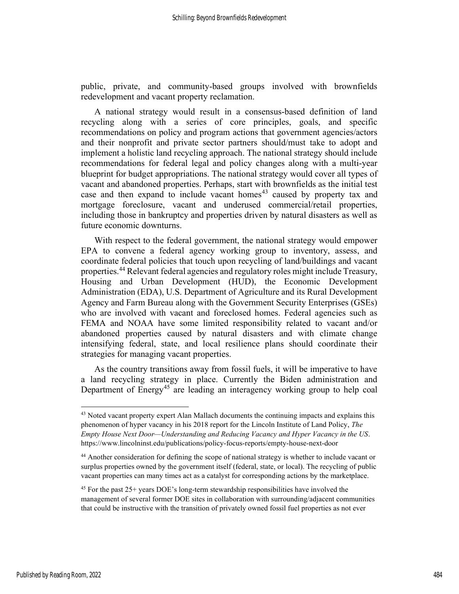public, private, and community-based groups involved with brownfields redevelopment and vacant property reclamation.

A national strategy would result in a consensus-based definition of land recycling along with a series of core principles, goals, and specific recommendations on policy and program actions that government agencies/actors and their nonprofit and private sector partners should/must take to adopt and implement a holistic land recycling approach. The national strategy should include recommendations for federal legal and policy changes along with a multi-year blueprint for budget appropriations. The national strategy would cover all types of vacant and abandoned properties. Perhaps, start with brownfields as the initial test case and then expand to include vacant homes<sup>43</sup> caused by property tax and mortgage foreclosure, vacant and underused commercial/retail properties, including those in bankruptcy and properties driven by natural disasters as well as future economic downturns.

With respect to the federal government, the national strategy would empower EPA to convene a federal agency working group to inventory, assess, and coordinate federal policies that touch upon recycling of land/buildings and vacant properties.<sup>44</sup> Relevant federal agencies and regulatory roles might include Treasury, Housing and Urban Development (HUD), the Economic Development Administration (EDA), U.S. Department of Agriculture and its Rural Development Agency and Farm Bureau along with the Government Security Enterprises (GSEs) who are involved with vacant and foreclosed homes. Federal agencies such as FEMA and NOAA have some limited responsibility related to vacant and/or abandoned properties caused by natural disasters and with climate change intensifying federal, state, and local resilience plans should coordinate their strategies for managing vacant properties.

As the country transitions away from fossil fuels, it will be imperative to have a land recycling strategy in place. Currently the Biden administration and Department of Energy<sup>45</sup> are leading an interagency working group to help coal

<sup>&</sup>lt;sup>43</sup> Noted vacant property expert Alan Mallach documents the continuing impacts and explains this phenomenon of hyper vacancy in his 2018 report for the Lincoln Institute of Land Policy, The Empty House Next Door—Understanding and Reducing Vacancy and Hyper Vacancy in the US. https://www.lincolninst.edu/publications/policy-focus-reports/empty-house-next-door

<sup>&</sup>lt;sup>44</sup> Another consideration for defining the scope of national strategy is whether to include vacant or surplus properties owned by the government itself (federal, state, or local). The recycling of public vacant properties can many times act as a catalyst for corresponding actions by the marketplace.

 $45$  For the past 25+ years DOE's long-term stewardship responsibilities have involved the management of several former DOE sites in collaboration with surrounding/adjacent communities that could be instructive with the transition of privately owned fossil fuel properties as not ever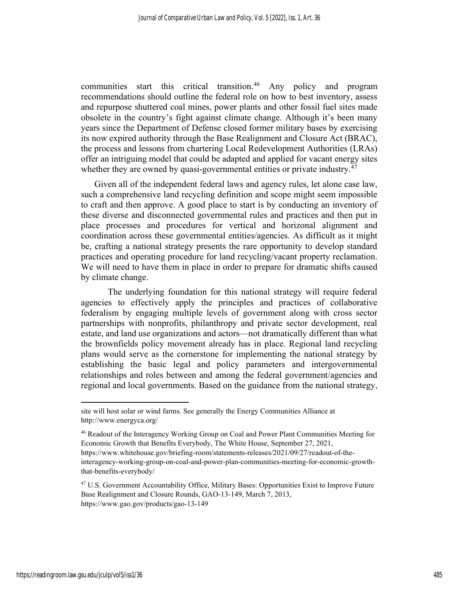communities start this critical transition.<sup>46</sup> Any policy and program recommendations should outline the federal role on how to best inventory, assess and repurpose shuttered coal mines, power plants and other fossil fuel sites made obsolete in the country's fight against climate change. Although it's been many years since the Department of Defense closed former military bases by exercising its now expired authority through the Base Realignment and Closure Act (BRAC), the process and lessons from chartering Local Redevelopment Authorities (LRAs) offer an intriguing model that could be adapted and applied for vacant energy sites whether they are owned by quasi-governmental entities or private industry.<sup>47</sup>

Given all of the independent federal laws and agency rules, let alone case law, such a comprehensive land recycling definition and scope might seem impossible to craft and then approve. A good place to start is by conducting an inventory of these diverse and disconnected governmental rules and practices and then put in place processes and procedures for vertical and horizonal alignment and coordination across these governmental entities/agencies. As difficult as it might be, crafting a national strategy presents the rare opportunity to develop standard practices and operating procedure for land recycling/vacant property reclamation. We will need to have them in place in order to prepare for dramatic shifts caused by climate change.

The underlying foundation for this national strategy will require federal agencies to effectively apply the principles and practices of collaborative federalism by engaging multiple levels of government along with cross sector partnerships with nonprofits, philanthropy and private sector development, real estate, and land use organizations and actors—not dramatically different than what the brownfields policy movement already has in place. Regional land recycling plans would serve as the cornerstone for implementing the national strategy by establishing the basic legal and policy parameters and intergovernmental relationships and roles between and among the federal government/agencies and regional and local governments. Based on the guidance from the national strategy,

site will host solar or wind farms. See generally the Energy Communities Alliance at http://www.energyca.org/

<sup>46</sup> Readout of the Interagency Working Group on Coal and Power Plant Communities Meeting for Economic Growth that Benefits Everybody, The White House, September 27, 2021,

https://www.whitehouse.gov/briefing-room/statements-releases/2021/09/27/readout-of-theinteragency-working-group-on-coal-and-power-plan-communities-meeting-for-economic-growththat-benefits-everybody/

<sup>&</sup>lt;sup>47</sup> U.S. Government Accountability Office, Military Bases: Opportunities Exist to Improve Future Base Realignment and Closure Rounds, GAO-13-149, March 7, 2013, https://www.gao.gov/products/gao-13-149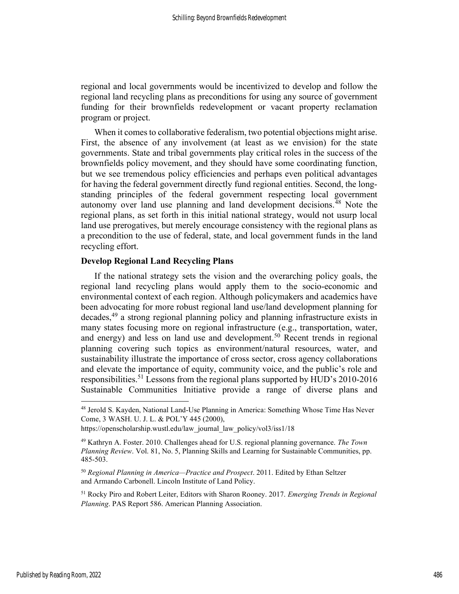regional and local governments would be incentivized to develop and follow the regional land recycling plans as preconditions for using any source of government funding for their brownfields redevelopment or vacant property reclamation program or project.

When it comes to collaborative federalism, two potential objections might arise. First, the absence of any involvement (at least as we envision) for the state governments. State and tribal governments play critical roles in the success of the brownfields policy movement, and they should have some coordinating function, but we see tremendous policy efficiencies and perhaps even political advantages for having the federal government directly fund regional entities. Second, the longstanding principles of the federal government respecting local government autonomy over land use planning and land development decisions.<sup>48</sup> Note the regional plans, as set forth in this initial national strategy, would not usurp local land use prerogatives, but merely encourage consistency with the regional plans as a precondition to the use of federal, state, and local government funds in the land recycling effort.

# Develop Regional Land Recycling Plans

If the national strategy sets the vision and the overarching policy goals, the regional land recycling plans would apply them to the socio-economic and environmental context of each region. Although policymakers and academics have been advocating for more robust regional land use/land development planning for decades,<sup>49</sup> a strong regional planning policy and planning infrastructure exists in many states focusing more on regional infrastructure (e.g., transportation, water, and energy) and less on land use and development.<sup>50</sup> Recent trends in regional planning covering such topics as environment/natural resources, water, and sustainability illustrate the importance of cross sector, cross agency collaborations and elevate the importance of equity, community voice, and the public's role and responsibilities.<sup>51</sup> Lessons from the regional plans supported by HUD's  $2010-2016$ Sustainable Communities Initiative provide a range of diverse plans and

<sup>48</sup> Jerold S. Kayden, National Land-Use Planning in America: Something Whose Time Has Never Come, 3 WASH. U. J. L. & POL'Y 445 (2000),

https://openscholarship.wustl.edu/law\_journal\_law\_policy/vol3/iss1/18

 $49$  Kathryn A. Foster. 2010. Challenges ahead for U.S. regional planning governance. The Town Planning Review. Vol. 81, No. 5, Planning Skills and Learning for Sustainable Communities, pp. 485-503.

<sup>&</sup>lt;sup>50</sup> Regional Planning in America—Practice and Prospect. 2011. Edited by Ethan Seltzer and Armando Carbonell. Lincoln Institute of Land Policy.

<sup>&</sup>lt;sup>51</sup> Rocky Piro and Robert Leiter, Editors with Sharon Rooney. 2017. Emerging Trends in Regional Planning. PAS Report 586. American Planning Association.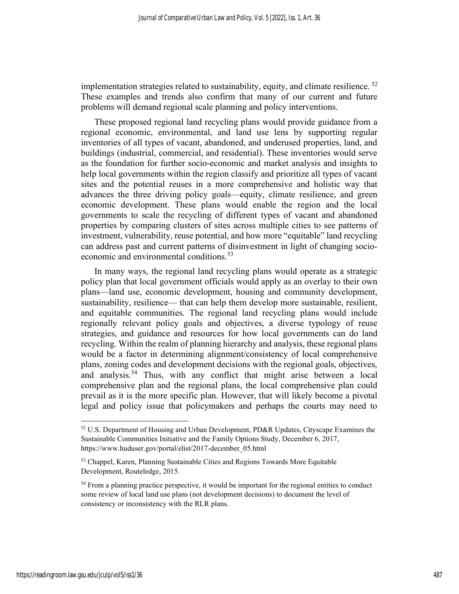implementation strategies related to sustainability, equity, and climate resilience.  $52$ These examples and trends also confirm that many of our current and future problems will demand regional scale planning and policy interventions.

These proposed regional land recycling plans would provide guidance from a regional economic, environmental, and land use lens by supporting regular inventories of all types of vacant, abandoned, and underused properties, land, and buildings (industrial, commercial, and residential). These inventories would serve as the foundation for further socio-economic and market analysis and insights to help local governments within the region classify and prioritize all types of vacant sites and the potential reuses in a more comprehensive and holistic way that advances the three driving policy goals—equity, climate resilience, and green economic development. These plans would enable the region and the local governments to scale the recycling of different types of vacant and abandoned properties by comparing clusters of sites across multiple cities to see patterns of investment, vulnerability, reuse potential, and how more "equitable" land recycling can address past and current patterns of disinvestment in light of changing socioeconomic and environmental conditions.<sup>53</sup>

In many ways, the regional land recycling plans would operate as a strategic policy plan that local government officials would apply as an overlay to their own plans—land use, economic development, housing and community development, sustainability, resilience— that can help them develop more sustainable, resilient, and equitable communities. The regional land recycling plans would include regionally relevant policy goals and objectives, a diverse typology of reuse strategies, and guidance and resources for how local governments can do land recycling. Within the realm of planning hierarchy and analysis, these regional plans would be a factor in determining alignment/consistency of local comprehensive plans, zoning codes and development decisions with the regional goals, objectives, and analysis.<sup>54</sup> Thus, with any conflict that might arise between a local comprehensive plan and the regional plans, the local comprehensive plan could prevail as it is the more specific plan. However, that will likely become a pivotal legal and policy issue that policymakers and perhaps the courts may need to

<sup>52</sup> U.S. Department of Housing and Urban Development, PD&R Updates, Cityscape Examines the Sustainable Communities Initiative and the Family Options Study, December 6, 2017, https://www.huduser.gov/portal/elist/2017-december\_05.html

<sup>&</sup>lt;sup>53</sup> Chappel, Karen, Planning Sustainable Cities and Regions Towards More Equitable Development, Routeledge, 2015.

<sup>&</sup>lt;sup>54</sup> From a planning practice perspective, it would be important for the regional entities to conduct some review of local land use plans (not development decisions) to document the level of consistency or inconsistency with the RLR plans.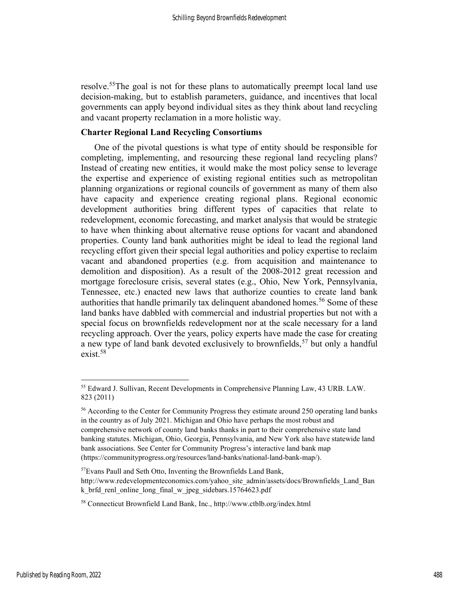resolve.<sup>55</sup>The goal is not for these plans to automatically preempt local land use decision-making, but to establish parameters, guidance, and incentives that local governments can apply beyond individual sites as they think about land recycling and vacant property reclamation in a more holistic way.

# Charter Regional Land Recycling Consortiums

One of the pivotal questions is what type of entity should be responsible for completing, implementing, and resourcing these regional land recycling plans? Instead of creating new entities, it would make the most policy sense to leverage the expertise and experience of existing regional entities such as metropolitan planning organizations or regional councils of government as many of them also have capacity and experience creating regional plans. Regional economic development authorities bring different types of capacities that relate to redevelopment, economic forecasting, and market analysis that would be strategic to have when thinking about alternative reuse options for vacant and abandoned properties. County land bank authorities might be ideal to lead the regional land recycling effort given their special legal authorities and policy expertise to reclaim vacant and abandoned properties (e.g. from acquisition and maintenance to demolition and disposition). As a result of the 2008-2012 great recession and mortgage foreclosure crisis, several states (e.g., Ohio, New York, Pennsylvania, Tennessee, etc.) enacted new laws that authorize counties to create land bank authorities that handle primarily tax delinquent abandoned homes.<sup>56</sup> Some of these land banks have dabbled with commercial and industrial properties but not with a special focus on brownfields redevelopment nor at the scale necessary for a land recycling approach. Over the years, policy experts have made the case for creating a new type of land bank devoted exclusively to brownfields,  $57$  but only a handful exist.<sup>58</sup>

<sup>55</sup> Edward J. Sullivan, Recent Developments in Comprehensive Planning Law, 43 URB. LAW. 823 (2011)

<sup>&</sup>lt;sup>56</sup> According to the Center for Community Progress they estimate around 250 operating land banks in the country as of July 2021. Michigan and Ohio have perhaps the most robust and comprehensive network of county land banks thanks in part to their comprehensive state land banking statutes. Michigan, Ohio, Georgia, Pennsylvania, and New York also have statewide land bank associations. See Center for Community Progress's interactive land bank map (https://communityprogress.org/resources/land-banks/national-land-bank-map/).

<sup>57</sup>Evans Paull and Seth Otto, Inventing the Brownfields Land Bank, http://www.redevelopmenteconomics.com/yahoo\_site\_admin/assets/docs/Brownfields\_Land\_Ban k brfd\_renl\_online\_long\_final\_w\_jpeg\_sidebars.15764623.pdf

<sup>58</sup> Connecticut Brownfield Land Bank, Inc., http://www.ctblb.org/index.html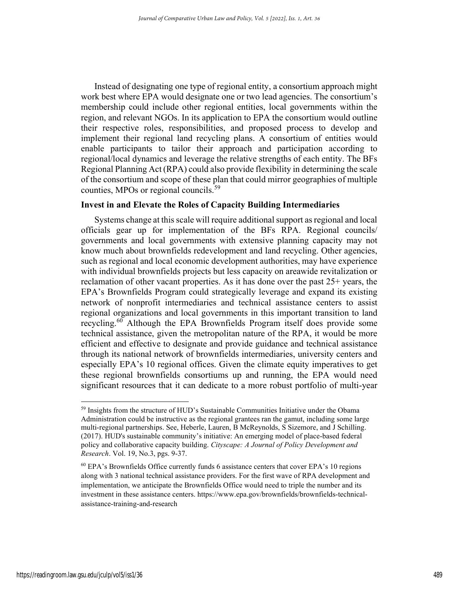Instead of designating one type of regional entity, a consortium approach might work best where EPA would designate one or two lead agencies. The consortium's membership could include other regional entities, local governments within the region, and relevant NGOs. In its application to EPA the consortium would outline their respective roles, responsibilities, and proposed process to develop and implement their regional land recycling plans. A consortium of entities would enable participants to tailor their approach and participation according to regional/local dynamics and leverage the relative strengths of each entity. The BFs Regional Planning Act (RPA) could also provide flexibility in determining the scale of the consortium and scope of these plan that could mirror geographies of multiple counties, MPOs or regional councils.<sup>59</sup>

# Invest in and Elevate the Roles of Capacity Building Intermediaries

Systems change at this scale will require additional support as regional and local officials gear up for implementation of the BFs RPA. Regional councils/ governments and local governments with extensive planning capacity may not know much about brownfields redevelopment and land recycling. Other agencies, such as regional and local economic development authorities, may have experience with individual brownfields projects but less capacity on areawide revitalization or reclamation of other vacant properties. As it has done over the past 25+ years, the EPA's Brownfields Program could strategically leverage and expand its existing network of nonprofit intermediaries and technical assistance centers to assist regional organizations and local governments in this important transition to land recycling.<sup>60</sup> Although the EPA Brownfields Program itself does provide some technical assistance, given the metropolitan nature of the RPA, it would be more efficient and effective to designate and provide guidance and technical assistance through its national network of brownfields intermediaries, university centers and especially EPA's 10 regional offices. Given the climate equity imperatives to get these regional brownfields consortiums up and running, the EPA would need significant resources that it can dedicate to a more robust portfolio of multi-year

<sup>&</sup>lt;sup>59</sup> Insights from the structure of HUD's Sustainable Communities Initiative under the Obama Administration could be instructive as the regional grantees ran the gamut, including some large multi-regional partnerships. See, Heberle, Lauren, B McReynolds, S Sizemore, and J Schilling. (2017). HUD's sustainable community's initiative: An emerging model of place-based federal policy and collaborative capacity building. Cityscape: A Journal of Policy Development and Research. Vol. 19, No.3, pgs. 9-37.

 $60$  EPA's Brownfields Office currently funds 6 assistance centers that cover EPA's 10 regions along with 3 national technical assistance providers. For the first wave of RPA development and implementation, we anticipate the Brownfields Office would need to triple the number and its investment in these assistance centers. https://www.epa.gov/brownfields/brownfields-technicalassistance-training-and-research